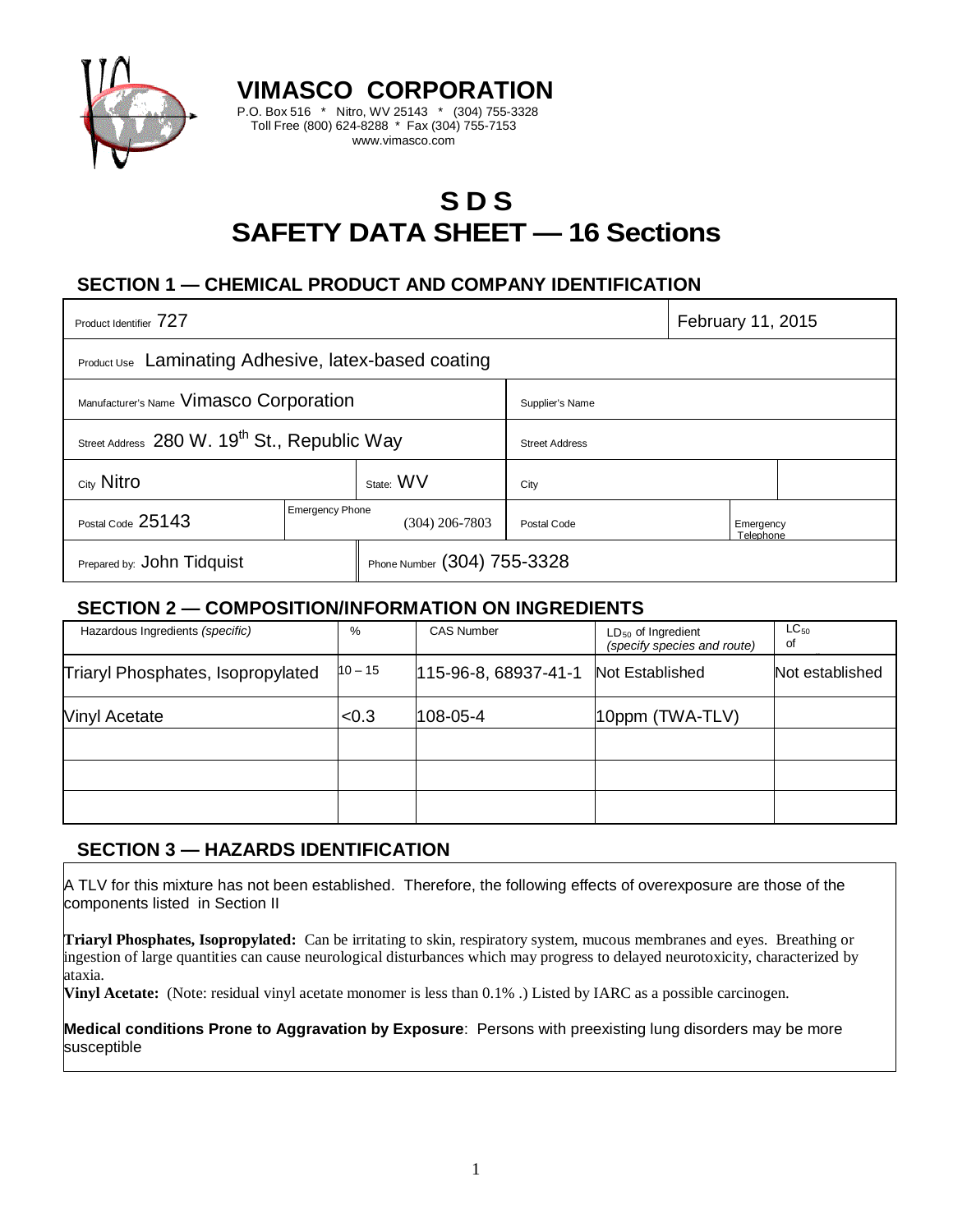

# **S D S SAFETY DATA SHEET — 16 Sections**

# **SECTION 1 — CHEMICAL PRODUCT AND COMPANY IDENTIFICATION**

**VIMASCO CORPORATION** P.O. Box 516 \* Nitro, WV 25143 \* (304) 755-3328 Toll Free (800) 624-8288 \* Fax (304) 755-7153 www.vimasco.com

| Product Identifier 727                                      |                                          |                             |                       | February 11, 2015      |  |  |
|-------------------------------------------------------------|------------------------------------------|-----------------------------|-----------------------|------------------------|--|--|
| <b>Product Use</b> Laminating Adhesive, latex-based coating |                                          |                             |                       |                        |  |  |
| Manufacturer's Name Vimasco Corporation                     |                                          |                             | Supplier's Name       |                        |  |  |
| Street Address 280 W. 19 <sup>th</sup> St., Republic Way    |                                          |                             | <b>Street Address</b> |                        |  |  |
| City Nitro                                                  |                                          | State: WV                   | City                  |                        |  |  |
| Postal Code 25143                                           | <b>Emergency Phone</b><br>(304) 206-7803 |                             | Postal Code           | Emergency<br>Telephone |  |  |
| Prepared by: John Tidquist                                  |                                          | Phone Number (304) 755-3328 |                       |                        |  |  |

### **SECTION 2 — COMPOSITION/INFORMATION ON INGREDIENTS**

| Hazardous Ingredients (specific)  | %         | <b>CAS Number</b>    | $LD_{50}$ of Ingredient<br>(specify species and route) | $LC_{50}$<br>of |
|-----------------------------------|-----------|----------------------|--------------------------------------------------------|-----------------|
| Triaryl Phosphates, Isopropylated | $10 - 15$ | 115-96-8, 68937-41-1 | Not Established                                        | Not established |
| <b>Vinyl Acetate</b>              | < 0.3     | $108 - 05 - 4$       | 10ppm (TWA-TLV)                                        |                 |
|                                   |           |                      |                                                        |                 |
|                                   |           |                      |                                                        |                 |
|                                   |           |                      |                                                        |                 |

# **SECTION 3 — HAZARDS IDENTIFICATION**

A TLV for this mixture has not been established. Therefore, the following effects of overexposure are those of the components listed in Section II

**Triaryl Phosphates, Isopropylated:** Can be irritating to skin, respiratory system, mucous membranes and eyes. Breathing or ingestion of large quantities can cause neurological disturbances which may progress to delayed neurotoxicity, characterized by ataxia.

**Vinyl Acetate:** (Note: residual vinyl acetate monomer is less than 0.1% .) Listed by IARC as a possible carcinogen.

**Medical conditions Prone to Aggravation by Exposure**: Persons with preexisting lung disorders may be more susceptible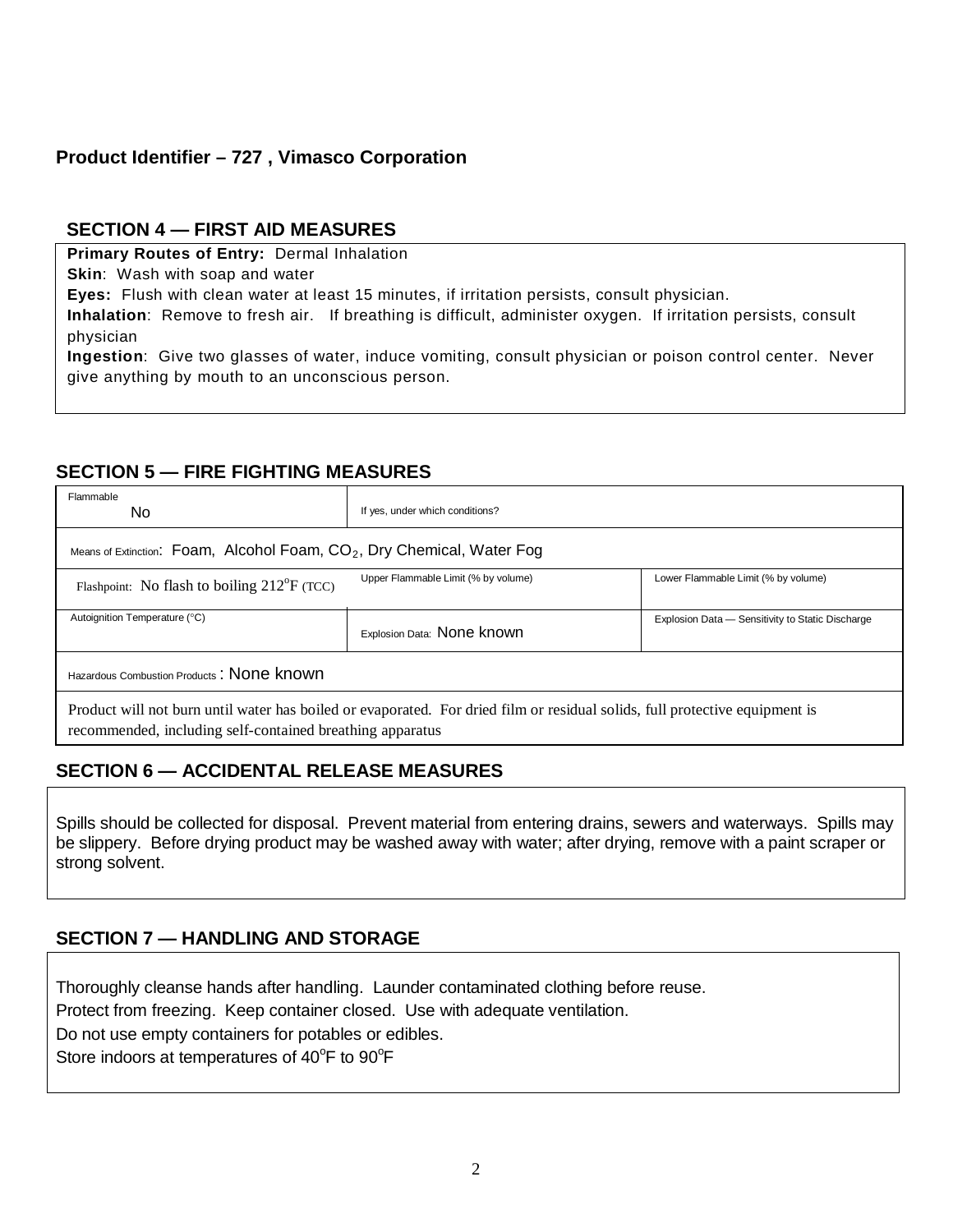# **Product Identifier – 727 , Vimasco Corporation**

### **SECTION 4 — FIRST AID MEASURES**

**Primary Routes of Entry:** Dermal Inhalation

**Skin**: Wash with soap and water

**Eyes:** Flush with clean water at least 15 minutes, if irritation persists, consult physician.

**Inhalation**: Remove to fresh air. If breathing is difficult, administer oxygen. If irritation persists, consult physician

**Ingestion**: Give two glasses of water, induce vomiting, consult physician or poison control center. Never give anything by mouth to an unconscious person.

### **SECTION 5 — FIRE FIGHTING MEASURES**

| Flammable<br>No.                                                                                                                                                                         | If yes, under which conditions?     |                                                  |  |  |  |
|------------------------------------------------------------------------------------------------------------------------------------------------------------------------------------------|-------------------------------------|--------------------------------------------------|--|--|--|
| Means of Extinction: Foam, Alcohol Foam, $CO2$ , Dry Chemical, Water Fog                                                                                                                 |                                     |                                                  |  |  |  |
| Flashpoint: No flash to boiling $212^{\circ}F$ (TCC)                                                                                                                                     | Upper Flammable Limit (% by volume) | Lower Flammable Limit (% by volume)              |  |  |  |
| Autoignition Temperature (°C)                                                                                                                                                            | Explosion Data: None known          | Explosion Data - Sensitivity to Static Discharge |  |  |  |
| Hazardous Combustion Products: None known                                                                                                                                                |                                     |                                                  |  |  |  |
| Product will not burn until water has boiled or evaporated. For dried film or residual solids, full protective equipment is<br>recommended, including self-contained breathing apparatus |                                     |                                                  |  |  |  |

# **SECTION 6 — ACCIDENTAL RELEASE MEASURES**

Spills should be collected for disposal. Prevent material from entering drains, sewers and waterways. Spills may be slippery. Before drying product may be washed away with water; after drying, remove with a paint scraper or strong solvent.

# **SECTION 7 — HANDLING AND STORAGE**

Thoroughly cleanse hands after handling. Launder contaminated clothing before reuse. Protect from freezing. Keep container closed. Use with adequate ventilation. Do not use empty containers for potables or edibles.

Store indoors at temperatures of 40°F to 90°F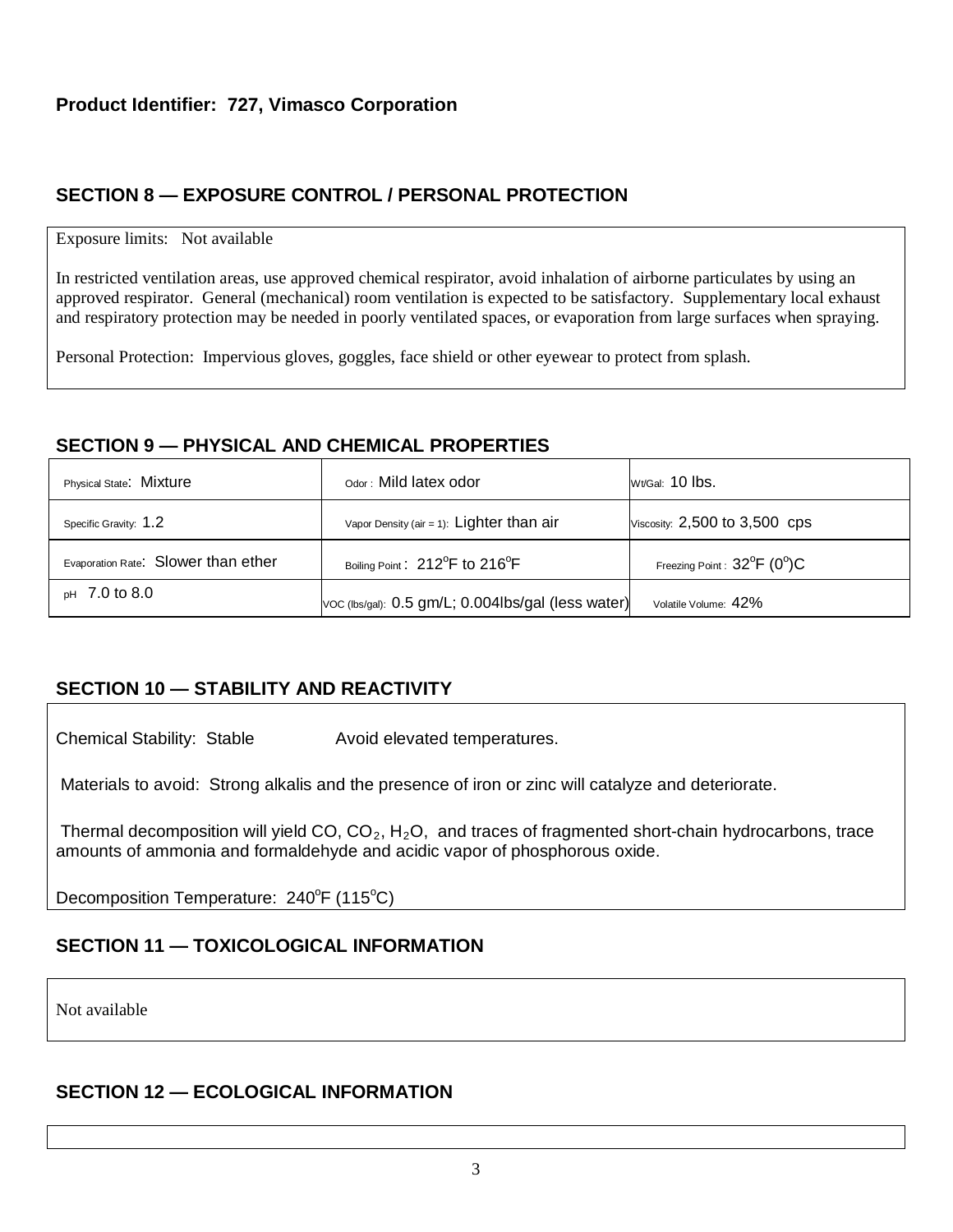# **SECTION 8 — EXPOSURE CONTROL / PERSONAL PROTECTION**

#### Exposure limits: Not available

In restricted ventilation areas, use approved chemical respirator, avoid inhalation of airborne particulates by using an approved respirator. General (mechanical) room ventilation is expected to be satisfactory. Supplementary local exhaust and respiratory protection may be needed in poorly ventilated spaces, or evaporation from large surfaces when spraying.

Personal Protection: Impervious gloves, goggles, face shield or other eyewear to protect from splash.

### **SECTION 9 — PHYSICAL AND CHEMICAL PROPERTIES**

| Physical State: Mixture             | Odor: Mild latex odor                                   | Wt/Gal: 10 lbs.                                  |
|-------------------------------------|---------------------------------------------------------|--------------------------------------------------|
| Specific Gravity: 1.2               | Vapor Density (air = 1): Lighter than $air$             | Viscosity: 2,500 to 3,500 cps                    |
| Evaporation Rate: Slower than ether | Boiling Point: 212 <sup>°</sup> F to 216 <sup>°</sup> F | Freezing Point : $32^{\circ}$ F (0 $^{\circ}$ )C |
| $pH$ 7.0 to 8.0                     | Voc (lbs/gal): 0.5 gm/L; 0.004lbs/gal (less water)      | Volatile Volume: 42%                             |

# **SECTION 10 — STABILITY AND REACTIVITY**

Chemical Stability: Stable **Avoid elevated temperatures**.

Materials to avoid: Strong alkalis and the presence of iron or zinc will catalyze and deteriorate.

Thermal decomposition will yield CO,  $CO<sub>2</sub>$ , H<sub>2</sub>O, and traces of fragmented short-chain hydrocarbons, trace amounts of ammonia and formaldehyde and acidic vapor of phosphorous oxide.

Decomposition Temperature: 240°F (115°C)

# **SECTION 11 — TOXICOLOGICAL INFORMATION**

Not available

### **SECTION 12 — ECOLOGICAL INFORMATION**